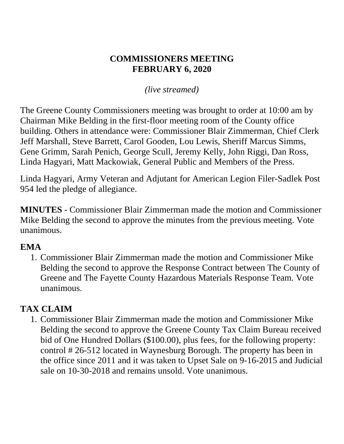### **COMMISSIONERS MEETING FEBRUARY 6, 2020**

## *(live streamed)*

The Greene County Commissioners meeting was brought to order at 10:00 am by Chairman Mike Belding in the first-floor meeting room of the County office building. Others in attendance were: Commissioner Blair Zimmerman, Chief Clerk Jeff Marshall, Steve Barrett, Carol Gooden, Lou Lewis, Sheriff Marcus Simms, Gene Grimm, Sarah Penich, George Scull, Jeremy Kelly, John Riggi, Dan Ross, Linda Hagyari, Matt Mackowiak, General Public and Members of the Press.

Linda Hagyari, Army Veteran and Adjutant for American Legion Filer-Sadlek Post 954 led the pledge of allegiance.

**MINUTES** - Commissioner Blair Zimmerman made the motion and Commissioner Mike Belding the second to approve the minutes from the previous meeting. Vote unanimous.

### **EMA**

1. Commissioner Blair Zimmerman made the motion and Commissioner Mike Belding the second to approve the Response Contract between The County of Greene and The Fayette County Hazardous Materials Response Team. Vote unanimous.

# **TAX CLAIM**

1. Commissioner Blair Zimmerman made the motion and Commissioner Mike Belding the second to approve the Greene County Tax Claim Bureau received bid of One Hundred Dollars (\$100.00), plus fees, for the following property: control # 26-512 located in Waynesburg Borough. The property has been in the office since 2011 and it was taken to Upset Sale on 9-16-2015 and Judicial sale on 10-30-2018 and remains unsold. Vote unanimous.